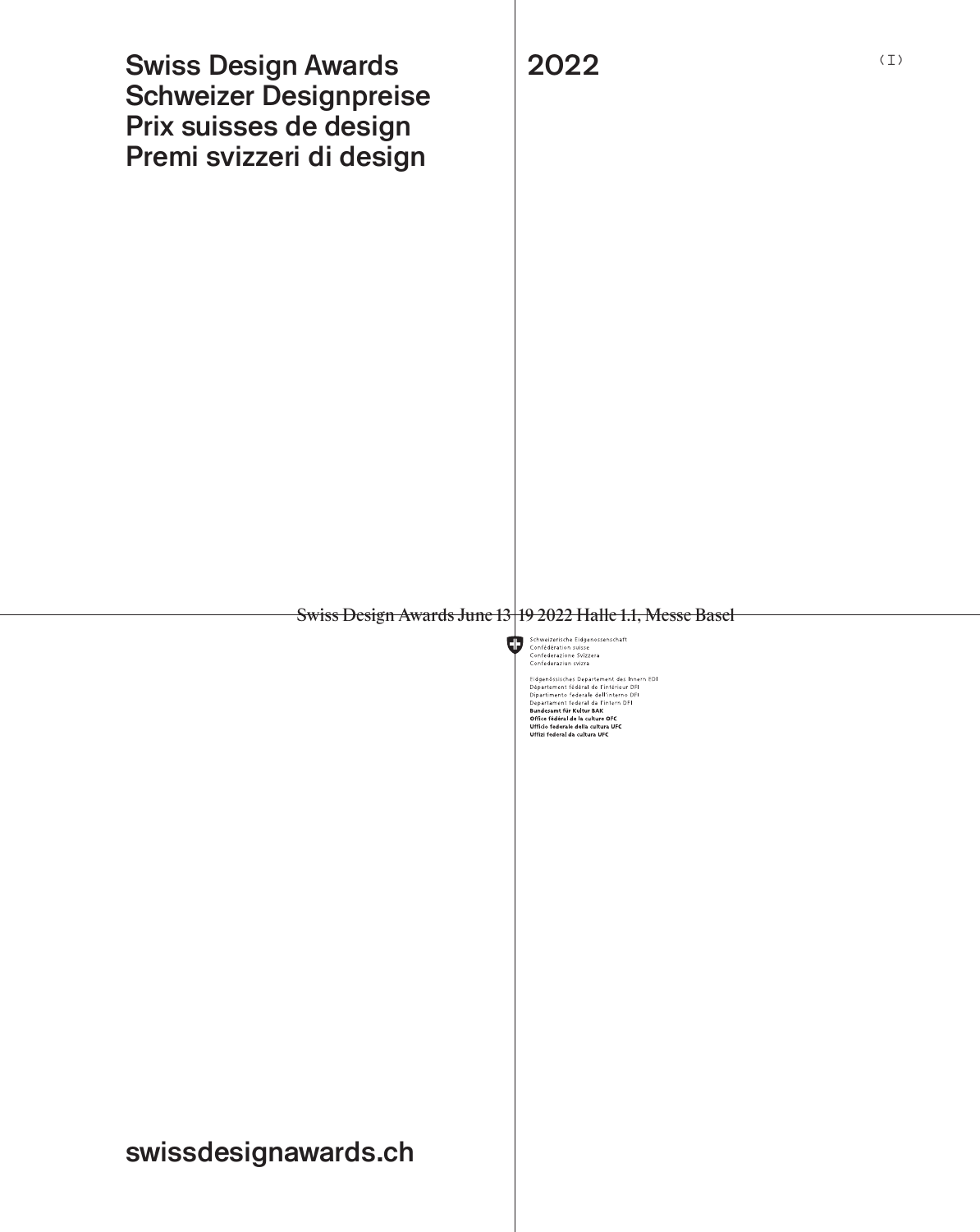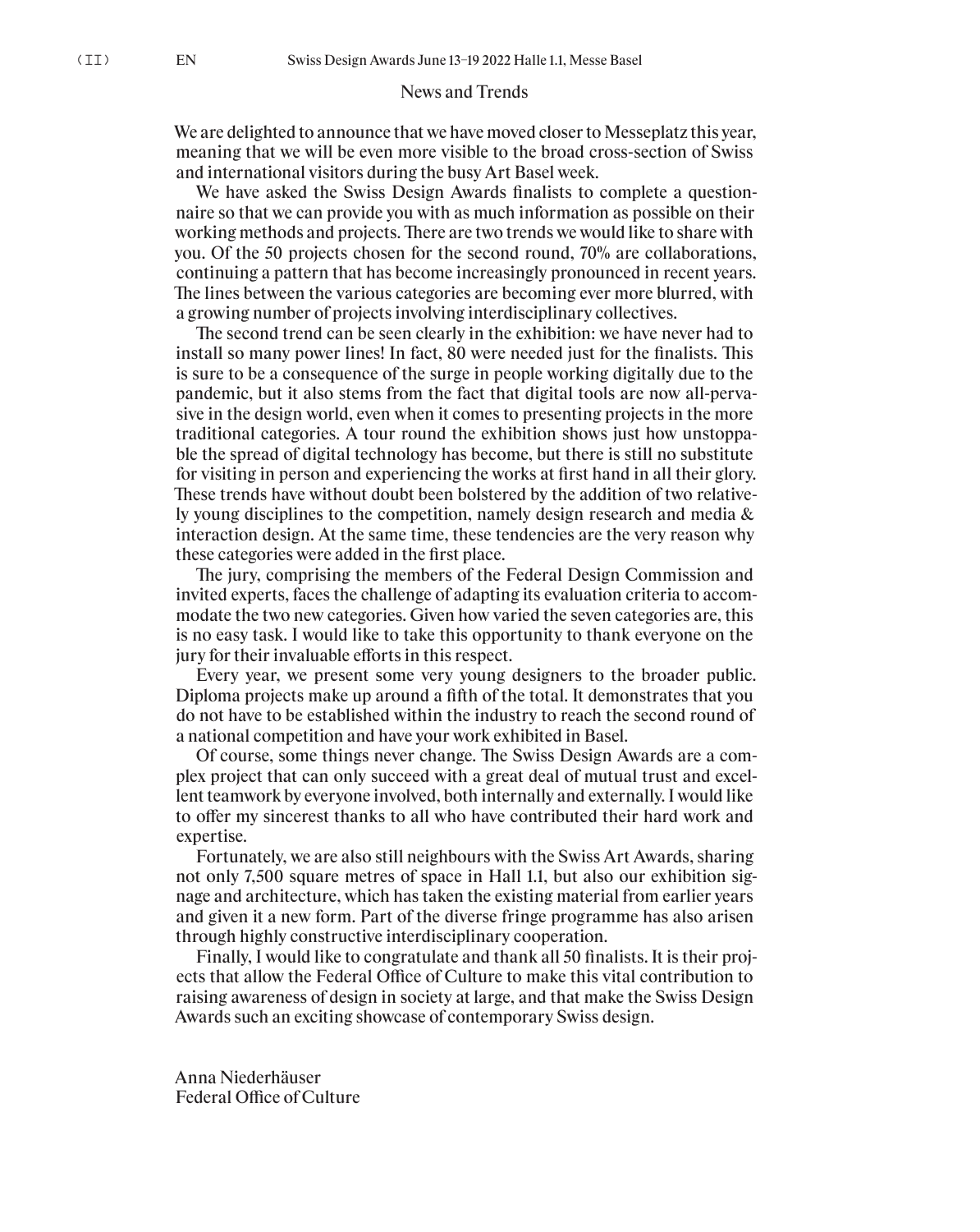# News and Trends

We are delighted to announce that we have moved closer to Messeplatz this year, meaning that we will be even more visible to the broad cross-section of Swiss and international visitors during the busy Art Basel week.

We have asked the Swiss Design Awards finalists to complete a questionnaire so that we can provide you with as much information as possible on their working methods and projects. There are two trends we would like to share with you. Of the 50 projects chosen for the second round, 70% are collaborations, continuing a pattern that has become increasingly pronounced in recent years. The lines between the various categories are becoming ever more blurred, with a growing number of projects involving interdisciplinary collectives.

The second trend can be seen clearly in the exhibition: we have never had to install so many power lines! In fact, 80 were needed just for the finalists. This is sure to be a consequence of the surge in people working digitally due to the pandemic, but it also stems from the fact that digital tools are now all-pervasive in the design world, even when it comes to presenting projects in the more traditional categories. A tour round the exhibition shows just how unstoppable the spread of digital technology has become, but there is still no substitute for visiting in person and experiencing the works at first hand in all their glory. These trends have without doubt been bolstered by the addition of two relatively young disciplines to the competition, namely design research and media & interaction design. At the same time, these tendencies are the very reason why these categories were added in the first place.

The jury, comprising the members of the Federal Design Commission and invited experts, faces the challenge of adapting its evaluation criteria to accommodate the two new categories. Given how varied the seven categories are, this is no easy task. I would like to take this opportunity to thank everyone on the jury for their invaluable efforts in this respect.

Every year, we present some very young designers to the broader public. Diploma projects make up around a fifth of the total. It demonstrates that you do not have to be established within the industry to reach the second round of a national competition and have your work exhibited in Basel.

Of course, some things never change. The Swiss Design Awards are a complex project that can only succeed with a great deal of mutual trust and excellent teamwork by everyone involved, both internally and externally. I would like to offer my sincerest thanks to all who have contributed their hard work and expertise.

Fortunately, we are also still neighbours with the Swiss Art Awards, sharing not only 7,500 square metres of space in Hall 1.1, but also our exhibition signage and architecture, which has taken the existing material from earlier years and given it a new form. Part of the diverse fringe programme has also arisen through highly constructive interdisciplinary cooperation.

Finally, I would like to congratulate and thank all 50 finalists. It is their projects that allow the Federal Office of Culture to make this vital contribution to raising awareness of design in society at large, and that make the Swiss Design Awards such an exciting showcase of contemporary Swiss design.

Anna Niederhäuser Federal Office of Culture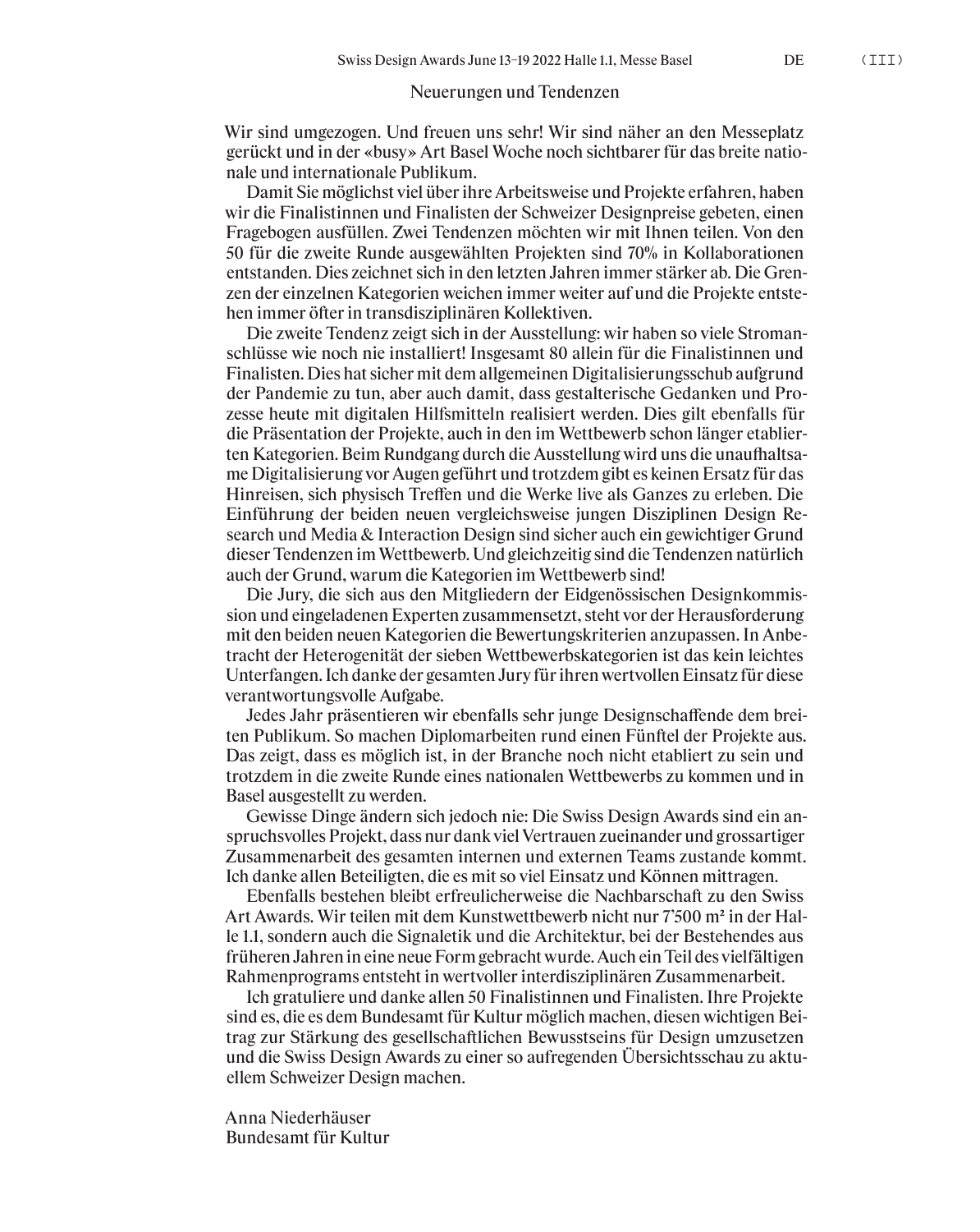## Neuerungen und Tendenzen

Wir sind umgezogen. Und freuen uns sehr! Wir sind näher an den Messeplatz gerückt und in der «busy» Art Basel Woche noch sichtbarer für das breite nationale und internationale Publikum.

Damit Sie möglichst viel über ihre Arbeitsweise und Projekte erfahren, haben wir die Finalistinnen und Finalisten der Schweizer Designpreise gebeten, einen Fragebogen ausfüllen. Zwei Tendenzen möchten wir mit Ihnen teilen. Von den 50 für die zweite Runde ausgewählten Projekten sind 70% in Kollaborationen entstanden. Dies zeichnet sich in den letzten Jahren immer stärker ab. Die Grenzen der einzelnen Kategorien weichen immer weiter auf und die Projekte entstehen immer öfter in transdisziplinären Kollektiven.

Die zweite Tendenz zeigt sich in der Ausstellung: wir haben so viele Stromanschlüsse wie noch nie installiert! Insgesamt 80 allein für die Finalistinnen und Finalisten. Dies hat sicher mit dem allgemeinen Digitalisierungsschub aufgrund der Pandemie zu tun, aber auch damit, dass gestalterische Gedanken und Prozesse heute mit digitalen Hilfsmitteln realisiert werden. Dies gilt ebenfalls für die Präsentation der Projekte, auch in den im Wettbewerb schon länger etablierten Kategorien. Beim Rundgang durch die Ausstellung wird uns die unaufhaltsame Digitalisierung vor Augen geführt und trotzdem gibt es keinen Ersatz für das Hinreisen, sich physisch Treffen und die Werke live als Ganzes zu erleben. Die Einführung der beiden neuen vergleichsweise jungen Disziplinen Design Research und Media & Interaction Design sind sicher auch ein gewichtiger Grund dieser Tendenzen im Wettbewerb. Und gleichzeitig sind die Tendenzen natürlich auch der Grund, warum die Kategorien im Wettbewerb sind!

Die Jury, die sich aus den Mitgliedern der Eidgenössischen Designkommission und eingeladenen Experten zusammensetzt, steht vor der Herausforderung mit den beiden neuen Kategorien die Bewertungskriterien anzupassen. In Anbetracht der Heterogenität der sieben Wettbewerbskategorien ist das kein leichtes Unterfangen. Ich danke der gesamten Jury für ihren wertvollen Einsatz für diese verantwortungsvolle Aufgabe.

Jedes Jahr präsentieren wir ebenfalls sehr junge Designschaffende dem breiten Publikum. So machen Diplomarbeiten rund einen Fünftel der Projekte aus. Das zeigt, dass es möglich ist, in der Branche noch nicht etabliert zu sein und trotzdem in die zweite Runde eines nationalen Wettbewerbs zu kommen und in Basel ausgestellt zu werden.

Gewisse Dinge ändern sich jedoch nie: Die Swiss Design Awards sind ein anspruchsvolles Projekt, dass nur dank viel Vertrauen zueinander und grossartiger Zusammenarbeit des gesamten internen und externen Teams zustande kommt. Ich danke allen Beteiligten, die es mit so viel Einsatz und Können mittragen.

Ebenfalls bestehen bleibt erfreulicherweise die Nachbarschaft zu den Swiss Art Awards. Wir teilen mit dem Kunstwettbewerb nicht nur 7'500 m<sup>2</sup> in der Halle 1.1, sondern auch die Signaletik und die Architektur, bei der Bestehendes aus früheren Jahren in eine neue Form gebracht wurde. Auch ein Teil des vielfältigen Rahmenprograms entsteht in wertvoller interdisziplinären Zusammenarbeit.

Ich gratuliere und danke allen 50 Finalistinnen und Finalisten. Ihre Projekte sind es, die es dem Bundesamt für Kultur möglich machen, diesen wichtigen Beitrag zur Stärkung des gesellschaftlichen Bewusstseins für Design umzusetzen und die Swiss Design Awards zu einer so aufregenden Übersichtsschau zu aktuellem Schweizer Design machen.

Anna Niederhäuser Bundesamt für Kultur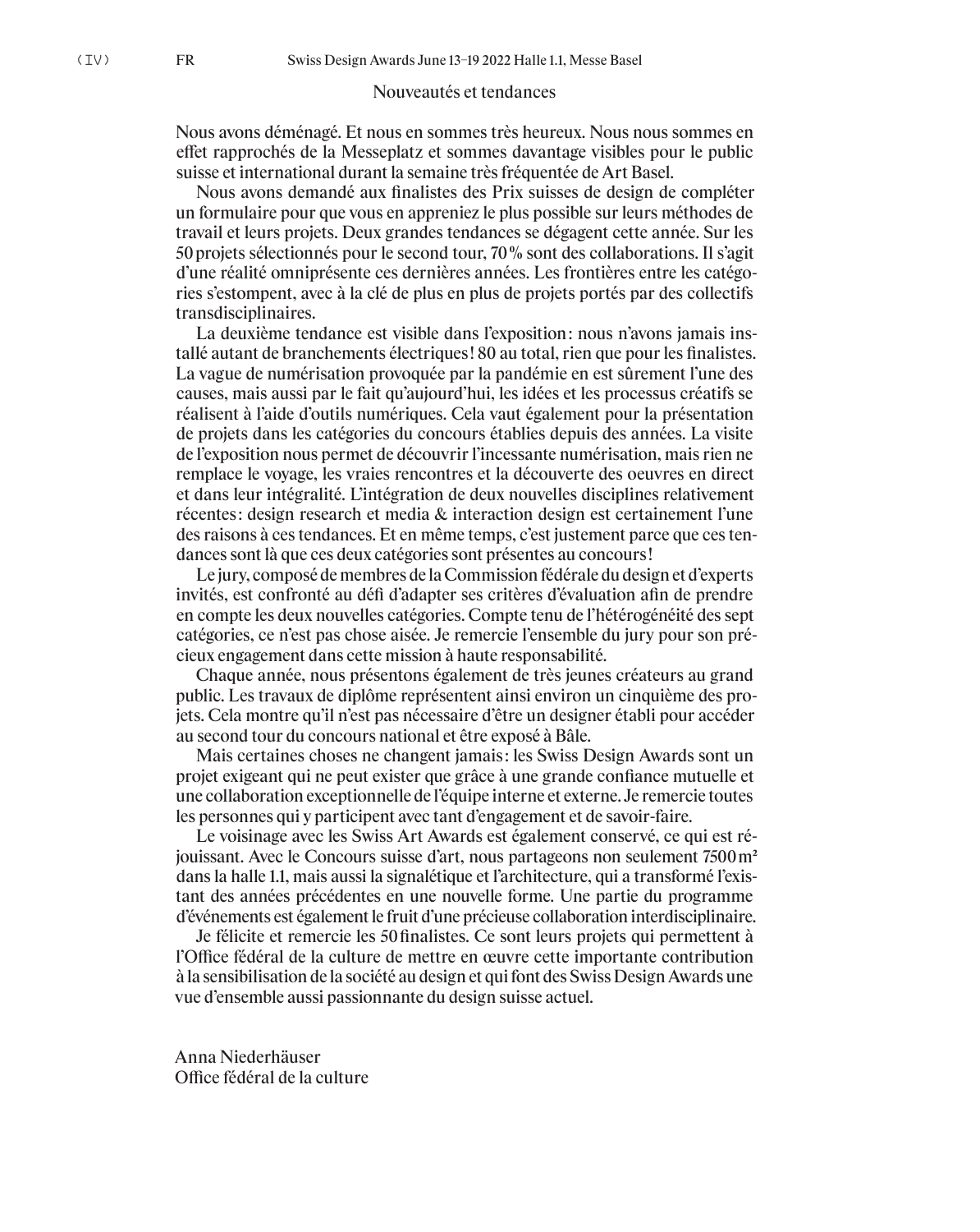## Nouveautés et tendances

Nous avons déménagé. Et nous en sommes très heureux. Nous nous sommes en effet rapprochés de la Messeplatz et sommes davantage visibles pour le public suisse et international durant la semaine très fréquentée de Art Basel.

Nous avons demandé aux finalistes des Prix suisses de design de compléter un formulaire pour que vous en appreniez le plus possible sur leurs méthodes de travail et leurs projets. Deux grandes tendances se dégagent cette année. Sur les 50 projets sélectionnés pour le second tour, 70 % sont des collaborations. Il s'agit d'une réalité omniprésente ces dernières années. Les frontières entre les catégories s'estompent, avec à la clé de plus en plus de projets portés par des collectifs transdisciplinaires.

La deuxième tendance est visible dans l'exposition : nous n'avons jamais installé autant de branchements électriques ! 80 au total, rien que pour les finalistes. La vague de numérisation provoquée par la pandémie en est sûrement l'une des causes, mais aussi par le fait qu'aujourd'hui, les idées et les processus créatifs se réalisent à l'aide d'outils numériques. Cela vaut également pour la présentation de projets dans les catégories du concours établies depuis des années. La visite de l'exposition nous permet de découvrir l'incessante numérisation, mais rien ne remplace le voyage, les vraies rencontres et la découverte des oeuvres en direct et dans leur intégralité. L'intégration de deux nouvelles disciplines relativement récentes : design research et media & interaction design est certainement l'une des raisons à ces tendances. Et en même temps, c'est justement parce que ces tendances sont là que ces deux catégories sont présentes au concours !

Le jury, composé de membres de la Commission fédérale du design et d'experts invités, est confronté au défi d'adapter ses critères d'évaluation afin de prendre en compte les deux nouvelles catégories. Compte tenu de l'hétérogénéité des sept catégories, ce n'est pas chose aisée. Je remercie l'ensemble du jury pour son précieux engagement dans cette mission à haute responsabilité.

Chaque année, nous présentons également de très jeunes créateurs au grand public. Les travaux de diplôme représentent ainsi environ un cinquième des projets. Cela montre qu'il n'est pas nécessaire d'être un designer établi pour accéder au second tour du concours national et être exposé à Bâle.

Mais certaines choses ne changent jamais : les Swiss Design Awards sont un projet exigeant qui ne peut exister que grâce à une grande confiance mutuelle et une collaboration exceptionnelle de l'équipe interne et externe. Je remercie toutes les personnes qui y participent avec tant d'engagement et de savoir-faire.

Le voisinage avec les Swiss Art Awards est également conservé, ce qui est réjouissant. Avec le Concours suisse d'art, nous partageons non seulement 7500 m2 dans la halle 1.1, mais aussi la signalétique et l'architecture, qui a transformé l'existant des années précédentes en une nouvelle forme. Une partie du programme d'événements est également le fruit d'une précieuse collaboration interdisciplinaire.

Je félicite et remercie les 50 finalistes. Ce sont leurs projets qui permettent à l'Office fédéral de la culture de mettre en œuvre cette importante contribution à la sensibilisation de la société au design et qui font des Swiss Design Awards une vue d'ensemble aussi passionnante du design suisse actuel.

Anna Niederhäuser Office fédéral de la culture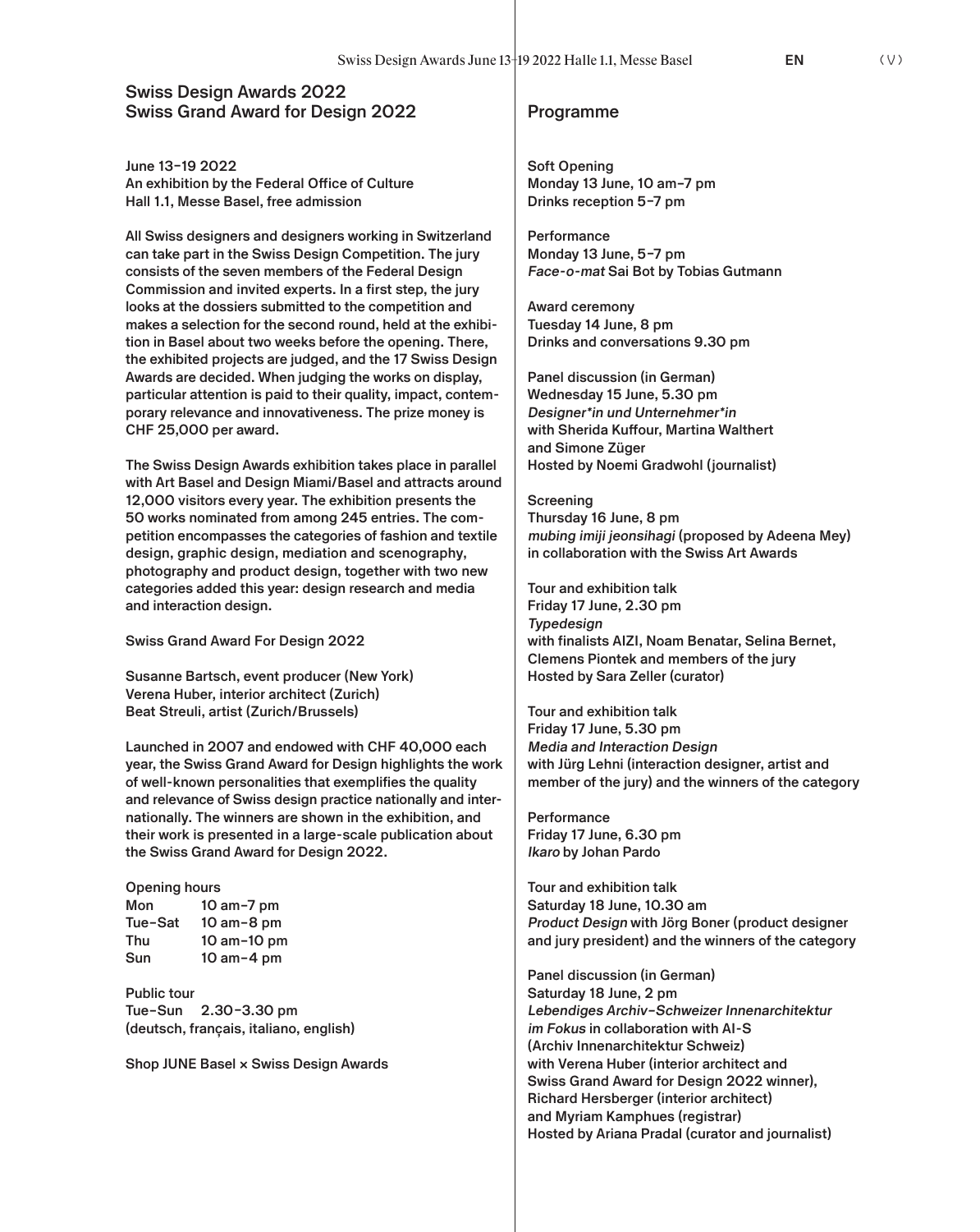# **Swiss Design Awards 2022 Swiss Grand Award for Design 2022** Programme

**June 13–19 2022 An exhibition by the Federal Office of Culture Hall 1.1, Messe Basel, free admission**

**All Swiss designers and designers working in Switzerland can take part in the Swiss Design Competition. The jury consists of the seven members of the Federal Design Commission and invited experts. In a first step, the jury looks at the dossiers submitted to the competition and makes a selection for the second round, held at the exhibition in Basel about two weeks before the opening. There, the exhibited projects are judged, and the 17 Swiss Design Awards are decided. When judging the works on display, particular attention is paid to their quality, impact, contemporary relevance and innovativeness. The prize money is CHF 25,000 per award.**

**The Swiss Design Awards exhibition takes place in parallel with Art Basel and Design Miami/Basel and attracts around 12,000 visitors every year. The exhibition presents the 50 works nominated from among 245 entries. The competition encompasses the categories of fashion and textile design, graphic design, mediation and scenography, photography and product design, together with two new categories added this year: design research and media and interaction design.**

**Swiss Grand Award For Design 2022**

**Susanne Bartsch, event producer (New York) Verena Huber, interior architect (Zurich) Beat Streuli, artist (Zurich/Brussels)**

**Launched in 2007 and endowed with CHF 40,000 each year, the Swiss Grand Award for Design highlights the work of well-known personalities that exemplifies the quality and relevance of Swiss design practice nationally and internationally. The winners are shown in the exhibition, and their work is presented in a large-scale publication about the Swiss Grand Award for Design 2022.** 

### **Opening hours Mon 10 am–7 pm Tue–Sat 10 am–8 pm Thu 10 am–10 pm Sun 10 am–4 pm**

**Public tour Tue–Sun 2.30–3.30 pm (deutsch, français, italiano, english)**

**Shop JUNE Basel × Swiss Design Awards**

**Soft Opening Monday 13 June, 10 am–7 pm Drinks reception 5–7 pm**

**Performance Monday 13 June, 5–7 pm Face-o-mat Sai Bot by Tobias Gutmann**

**Award ceremony Tuesday 14 June, 8 pm Drinks and conversations 9.30 pm**

**Panel discussion (in German) Wednesday 15 June, 5.30 pm Designer\*in und Unternehmer\*in with Sherida Kuffour, Martina Walthert and Simone Züger Hosted by Noemi Gradwohl (journalist)**

**Screening Thursday 16 June, 8 pm mubing imiji jeonsihagi (proposed by Adeena Mey) in collaboration with the Swiss Art Awards** 

**Tour and exhibition talk Friday 17 June, 2.30 pm Typedesign with finalists AIZI, Noam Benatar, Selina Bernet, Clemens Piontek and members of the jury Hosted by Sara Zeller (curator)**

**Tour and exhibition talk Friday 17 June, 5.30 pm Media and Interaction Design with Jürg Lehni (interaction designer, artist and member of the jury) and the winners of the category**

**Performance Friday 17 June, 6.30 pm Ikaro by Johan Pardo**

**Tour and exhibition talk Saturday 18 June, 10.30 am Product Design with Jörg Boner (product designer and jury president) and the winners of the category**

**Panel discussion (in German) Saturday 18 June, 2 pm Lebendiges Archiv–Schweizer Innenarchitektur im Fokus in collaboration with AI-S (Archiv Innenarchitektur Schweiz) with Verena Huber (interior architect and Swiss Grand Award for Design 2022 winner), Richard Hersberger (interior architect) and Myriam Kamphues (registrar) Hosted by Ariana Pradal (curator and journalist)**

**EN** (V)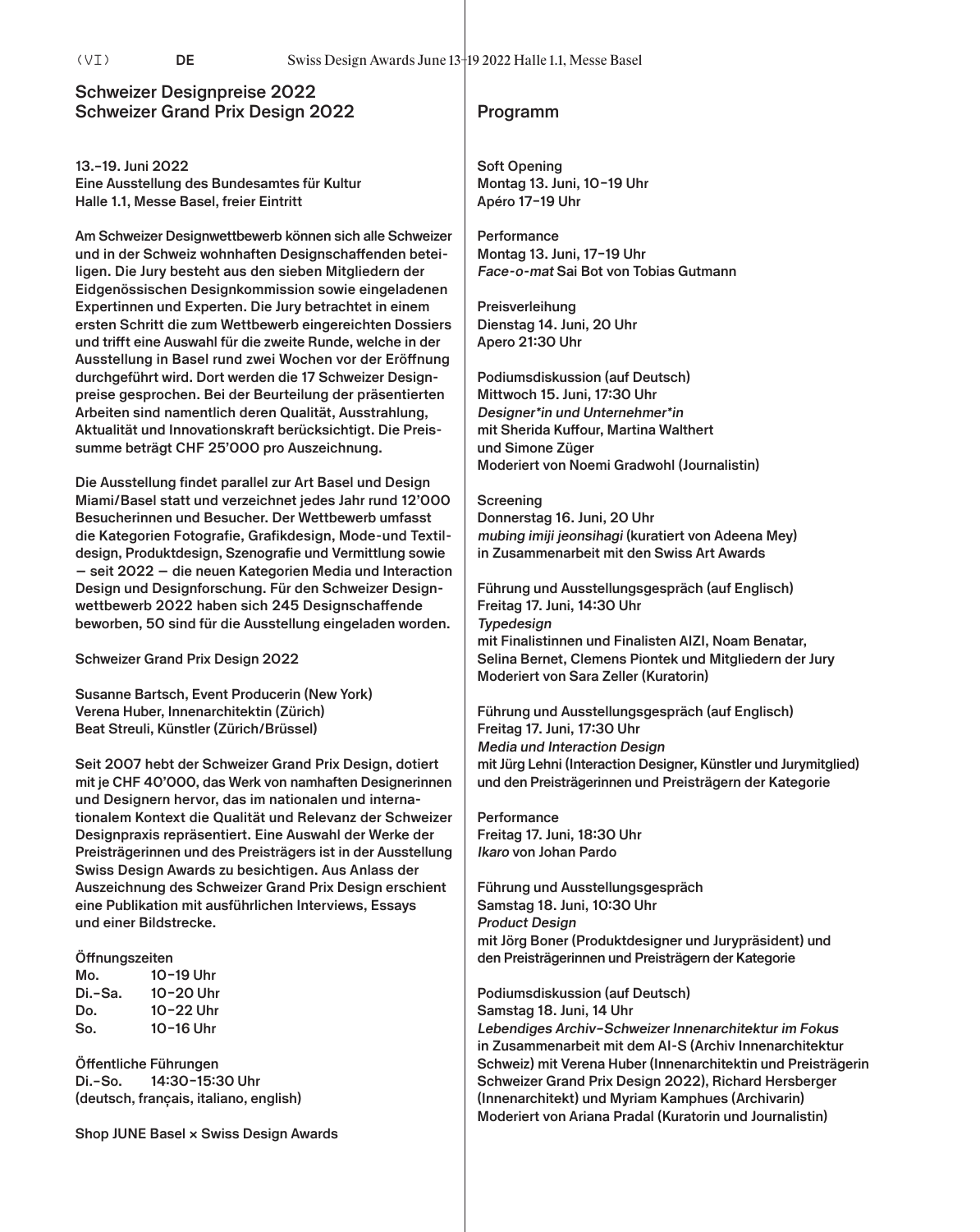# **Schweizer Designpreise 2022 Schweizer Grand Prix Design 2022 Programm**

**13.–19. Juni 2022 Eine Ausstellung des Bundesamtes für Kultur Halle 1.1, Messe Basel, freier Eintritt**

**Am Schweizer Designwettbewerb können sich alle Schweizer und in der Schweiz wohnhaften Designschaffenden beteiligen. Die Jury besteht aus den sieben Mitgliedern der Eidgenössischen Designkommission sowie eingeladenen Expertinnen und Experten. Die Jury betrachtet in einem ersten Schritt die zum Wettbewerb eingereichten Dossiers und trifft eine Auswahl für die zweite Runde, welche in der Ausstellung in Basel rund zwei Wochen vor der Eröffnung durchgeführt wird. Dort werden die 17 Schweizer Designpreise gesprochen. Bei der Beurteilung der präsentierten Arbeiten sind namentlich deren Qualität, Ausstrahlung, Aktualität und Innovationskraft berücksichtigt. Die Preissumme beträgt CHF 25'000 pro Auszeichnung.**

**Die Ausstellung findet parallel zur Art Basel und Design Miami/Basel statt und verzeichnet jedes Jahr rund 12'000 Besucherinnen und Besucher. Der Wettbewerb umfasst die Kategorien Fotografie, Grafikdesign, Mode-und Textildesign, Produktdesign, Szenografie und Vermittlung sowie — seit 2022 — die neuen Kategorien Media und Interaction Design und Designforschung. Für den Schweizer Designwettbewerb 2022 haben sich 245 Designschaffende beworben, 50 sind für die Ausstellung eingeladen worden.**

**Schweizer Grand Prix Design 2022**

**Susanne Bartsch, Event Producerin (New York) Verena Huber, Innenarchitektin (Zürich) Beat Streuli, Künstler (Zürich/Brüssel)**

**Seit 2007 hebt der Schweizer Grand Prix Design, dotiert mit je CHF 40'000, das Werk von namhaften Designerinnen und Designern hervor, das im nationalen und internationalem Kontext die Qualität und Relevanz der Schweizer Designpraxis repräsentiert. Eine Auswahl der Werke der Preisträgerinnen und des Preisträgers ist in der Ausstellung Swiss Design Awards zu besichtigen. Aus Anlass der Auszeichnung des Schweizer Grand Prix Design erschient eine Publikation mit ausführlichen Interviews, Essays und einer Bildstrecke.** 

### **Öffnungszeiten**

| Mo.     | 10-19 Uhr |
|---------|-----------|
| Di.-Sa. | 10-20 Uhr |
| Do.     | 10-22 Uhr |
| So.     | 10-16 Uhr |

**Öffentliche Führungen Di.–So. 14:30–15:30 Uhr (deutsch, français, italiano, english)**

**Shop JUNE Basel × Swiss Design Awards**

**Soft Opening Montag 13. Juni, 10–19 Uhr Apéro 17–19 Uhr**

**Performance Montag 13. Juni, 17–19 Uhr Face-o-mat Sai Bot von Tobias Gutmann**

**Preisverleihung Dienstag 14. Juni, 20 Uhr Apero 21:30 Uhr**

**Podiumsdiskussion (auf Deutsch) Mittwoch 15. Juni, 17:30 Uhr Designer\*in und Unternehmer\*in mit Sherida Kuffour, Martina Walthert und Simone Züger Moderiert von Noemi Gradwohl (Journalistin)**

**Screening Donnerstag 16. Juni, 20 Uhr mubing imiji jeonsihagi (kuratiert von Adeena Mey) in Zusammenarbeit mit den Swiss Art Awards** 

**Führung und Ausstellungsgespräch (auf Englisch) Freitag 17. Juni, 14:30 Uhr Typedesign mit Finalistinnen und Finalisten AIZI, Noam Benatar, Selina Bernet, Clemens Piontek und Mitgliedern der Jury Moderiert von Sara Zeller (Kuratorin)**

**Führung und Ausstellungsgespräch (auf Englisch) Freitag 17. Juni, 17:30 Uhr Media und Interaction Design mit Jürg Lehni (Interaction Designer, Künstler und Jurymitglied) und den Preisträgerinnen und Preisträgern der Kategorie**

**Performance Freitag 17. Juni, 18:30 Uhr Ikaro von Johan Pardo**

**Führung und Ausstellungsgespräch Samstag 18. Juni, 10:30 Uhr Product Design mit Jörg Boner (Produktdesigner und Jurypräsident) und den Preisträgerinnen und Preisträgern der Kategorie**

**Podiumsdiskussion (auf Deutsch) Samstag 18. Juni, 14 Uhr Lebendiges Archiv–Schweizer Innenarchitektur im Fokus in Zusammenarbeit mit dem AI-S (Archiv Innenarchitektur Schweiz) mit Verena Huber (Innenarchitektin und Preisträgerin Schweizer Grand Prix Design 2022), Richard Hersberger (Innenarchitekt) und Myriam Kamphues (Archivarin) Moderiert von Ariana Pradal (Kuratorin und Journalistin)**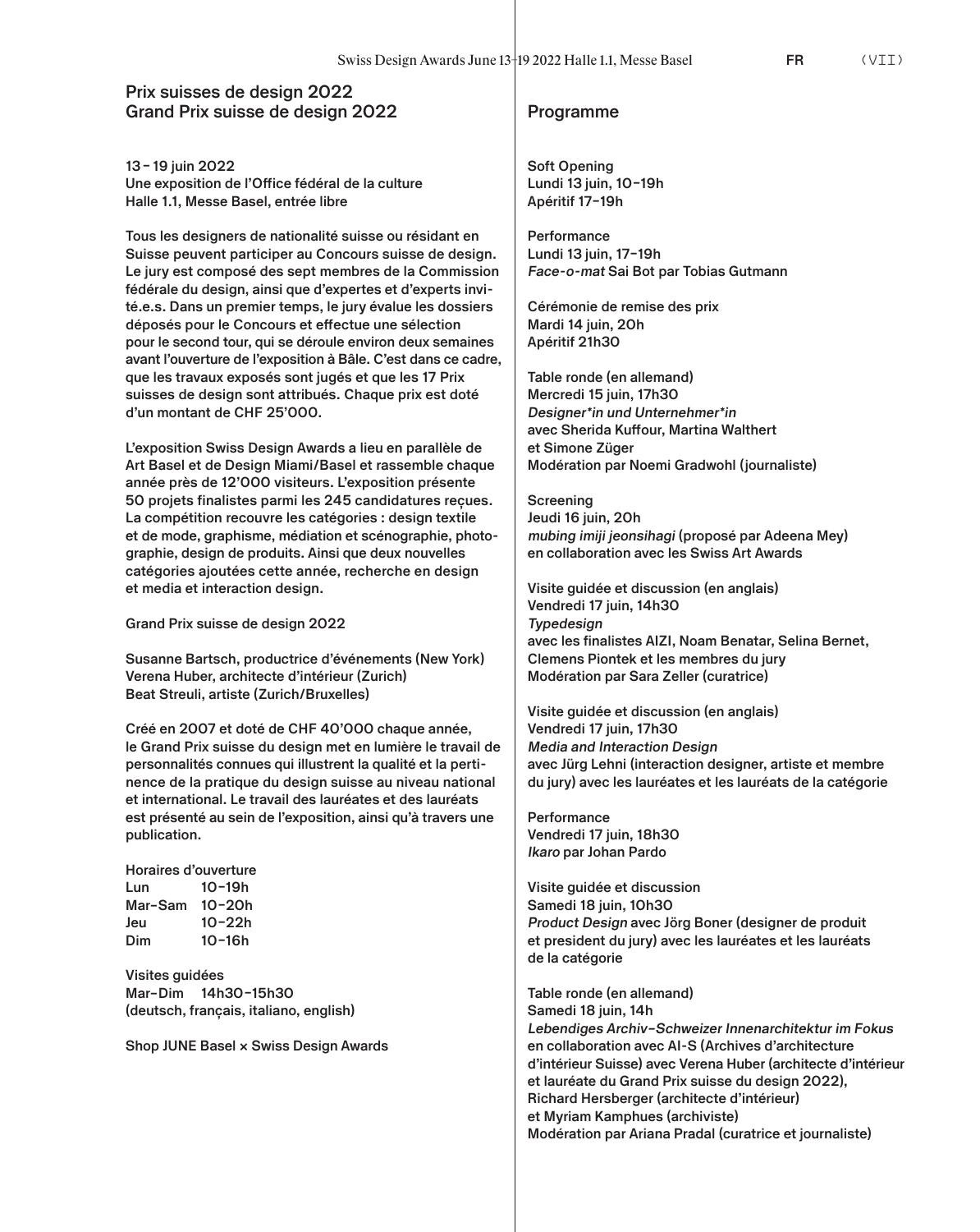# **Prix suisses de design 2022 Grand Prix suisse de design 2022 Programme**

**13–19 juin 2022 Une exposition de l'Office fédéral de la culture Halle 1.1, Messe Basel, entrée libre**

**Tous les designers de nationalité suisse ou résidant en Suisse peuvent participer au Concours suisse de design. Le jury est composé des sept membres de la Commission fédérale du design, ainsi que d'expertes et d'experts invité.e.s. Dans un premier temps, le jury évalue les dossiers déposés pour le Concours et effectue une sélection pour le second tour, qui se déroule environ deux semaines avant l'ouverture de l'exposition à Bâle. C'est dans ce cadre, que les travaux exposés sont jugés et que les 17 Prix suisses de design sont attribués. Chaque prix est doté d'un montant de CHF 25'000.**

**L'exposition Swiss Design Awards a lieu en parallèle de Art Basel et de Design Miami/Basel et rassemble chaque année près de 12'000 visiteurs. L'exposition présente 50 projets finalistes parmi les 245 candidatures reçues. La compétition recouvre les catégories : design textile et de mode, graphisme, médiation et scénographie, photographie, design de produits. Ainsi que deux nouvelles catégories ajoutées cette année, recherche en design et media et interaction design.** 

**Grand Prix suisse de design 2022**

**Susanne Bartsch, productrice d'événements (New York) Verena Huber, architecte d'intérieur (Zurich) Beat Streuli, artiste (Zurich/Bruxelles)**

**Créé en 2007 et doté de CHF 40'000 chaque année, le Grand Prix suisse du design met en lumière le travail de personnalités connues qui illustrent la qualité et la pertinence de la pratique du design suisse au niveau national et international. Le travail des lauréates et des lauréats est présenté au sein de l'exposition, ainsi qu'à travers une publication.** 

**Horaires d'ouverture Lun 10–19h Mar–Sam 10–20h Jeu 10–22h Dim 10–16h**

**Visites guidées Mar–Dim 14h30–15h30 (deutsch, français, italiano, english)**

**Shop JUNE Basel × Swiss Design Awards**

**Soft Opening Lundi 13 juin, 10–19h Apéritif 17–19h** 

**Performance Lundi 13 juin, 17–19h Face-o-mat Sai Bot par Tobias Gutmann**

**Cérémonie de remise des prix Mardi 14 juin, 20h Apéritif 21h30**

**Table ronde (en allemand) Mercredi 15 juin, 17h30 Designer\*in und Unternehmer\*in avec Sherida Kuffour, Martina Walthert et Simone Züger Modération par Noemi Gradwohl (journaliste)**

**Screening Jeudi 16 juin, 20h mubing imiji jeonsihagi (proposé par Adeena Mey) en collaboration avec les Swiss Art Awards** 

**Visite guidée et discussion (en anglais) Vendredi 17 juin, 14h30 Typedesign avec les finalistes AIZI, Noam Benatar, Selina Bernet, Clemens Piontek et les membres du jury Modération par Sara Zeller (curatrice)**

**Visite guidée et discussion (en anglais) Vendredi 17 juin, 17h30 Media and Interaction Design avec Jürg Lehni (interaction designer, artiste et membre du jury) avec les lauréates et les lauréats de la catégorie** 

**Performance Vendredi 17 juin, 18h30 Ikaro par Johan Pardo**

**Visite guidée et discussion Samedi 18 juin, 10h30 Product Design avec Jörg Boner (designer de produit et president du jury) avec les lauréates et les lauréats de la catégorie** 

**Table ronde (en allemand) Samedi 18 juin, 14h Lebendiges Archiv–Schweizer Innenarchitektur im Fokus en collaboration avec AI-S (Archives d'architecture d'intérieur Suisse) avec Verena Huber (architecte d'intérieur et lauréate du Grand Prix suisse du design 2022), Richard Hersberger (architecte d'intérieur) et Myriam Kamphues (archiviste) Modération par Ariana Pradal (curatrice et journaliste)**